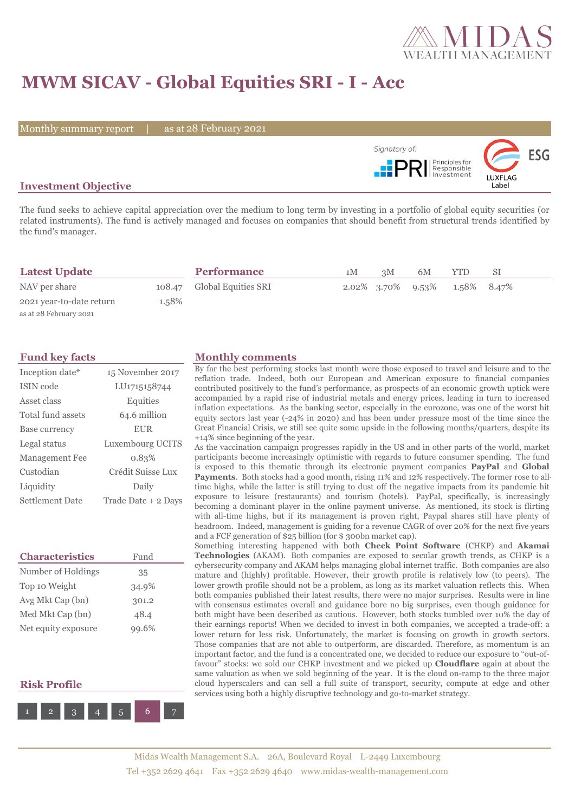

# **MWM SICAV - Global Equities SRI - I - Acc**

Monthly summary report | as at 28 February 2021



## **Investment Objective**

The fund seeks to achieve capital appreciation over the medium to long term by investing in a portfolio of global equity securities (or related instruments). The fund is actively managed and focuses on companies that should benefit from structural trends identified by the fund's manager.

| <b>Latest Update</b>     |       | <b>Performance</b>         | 1M | 3M | 6M                   | <b>YTD</b>  |  |
|--------------------------|-------|----------------------------|----|----|----------------------|-------------|--|
| NAV per share            |       | 108.47 Global Equities SRI |    |    | 2.02\% 3.70\% 9.53\% | 1.58% 8.47% |  |
| 2021 year-to-date return | 1.58% |                            |    |    |                      |             |  |
| as at 28 February 2021   |       |                            |    |    |                      |             |  |

| Inception date*        | 15 November 2017    |
|------------------------|---------------------|
| ISIN code              | LU1715158744        |
| Asset class            | Equities            |
| Total fund assets      | 64.6 million        |
| Base currency          | <b>EUR</b>          |
| Legal status           | Luxembourg UCITS    |
| <b>Management Fee</b>  | 0.83%               |
| Custodian              | Crédit Suisse Lux   |
| Liquidity              | Daily               |
| <b>Settlement Date</b> | Trade Date + 2 Days |

| <b>Characteristics</b> | Fund  |
|------------------------|-------|
| Number of Holdings     | 35    |
| Top 10 Weight          | 34.9% |
| Avg Mkt Cap (bn)       | 301.2 |
| Med Mkt Cap (bn)       | 48.4  |
| Net equity exposure    | 99.6% |

### **Risk Profile**



### **Fund key facts Monthly comments**

By far the best performing stocks last month were those exposed to travel and leisure and to the reflation trade. Indeed, both our European and American exposure to financial companies contributed positively to the fund's performance, as prospects of an economic growth uptick were accompanied by a rapid rise of industrial metals and energy prices, leading in turn to increased inflation expectations. As the banking sector, especially in the eurozone, was one of the worst hit equity sectors last year (-24% in 2020) and has been under pressure most of the time since the Great Financial Crisis, we still see quite some upside in the following months/quarters, despite its +14% since beginning of the year.

As the vaccination campaign progresses rapidly in the US and in other parts of the world, market participants become increasingly optimistic with regards to future consumer spending. The fund is exposed to this thematic through its electronic payment companies **PayPal** and **Global Payments**. Both stocks had a good month, rising 11% and 12% respectively. The former rose to alltime highs, while the latter is still trying to dust off the negative impacts from its pandemic hit exposure to leisure (restaurants) and tourism (hotels). PayPal, specifically, is increasingly becoming a dominant player in the online payment universe. As mentioned, its stock is flirting with all-time highs, but if its management is proven right, Paypal shares still have plenty of headroom. Indeed, management is guiding for a revenue CAGR of over 20% for the next five years and a FCF generation of \$25 billion (for \$ 300bn market cap).

Something interesting happened with both **Check Point Software** (CHKP) and **Akamai Technologies** (AKAM). Both companies are exposed to secular growth trends, as CHKP is a cybersecurity company and AKAM helps managing global internet traffic. Both companies are also mature and (highly) profitable. However, their growth profile is relatively low (to peers). The lower growth profile should not be a problem, as long as its market valuation reflects this. When both companies published their latest results, there were no major surprises. Results were in line with consensus estimates overall and guidance bore no big surprises, even though guidance for both might have been described as cautious. However, both stocks tumbled over 10% the day of their earnings reports! When we decided to invest in both companies, we accepted a trade-off: a lower return for less risk. Unfortunately, the market is focusing on growth in growth sectors. Those companies that are not able to outperform, are discarded. Therefore, as momentum is an important factor, and the fund is a concentrated one, we decided to reduce our exposure to "out-offavour" stocks: we sold our CHKP investment and we picked up **Cloudflare** again at about the same valuation as when we sold beginning of the year. It is the cloud on-ramp to the three major cloud hyperscalers and can sell a full suite of transport, security, compute at edge and other services using both a highly disruptive technology and go-to-market strategy.